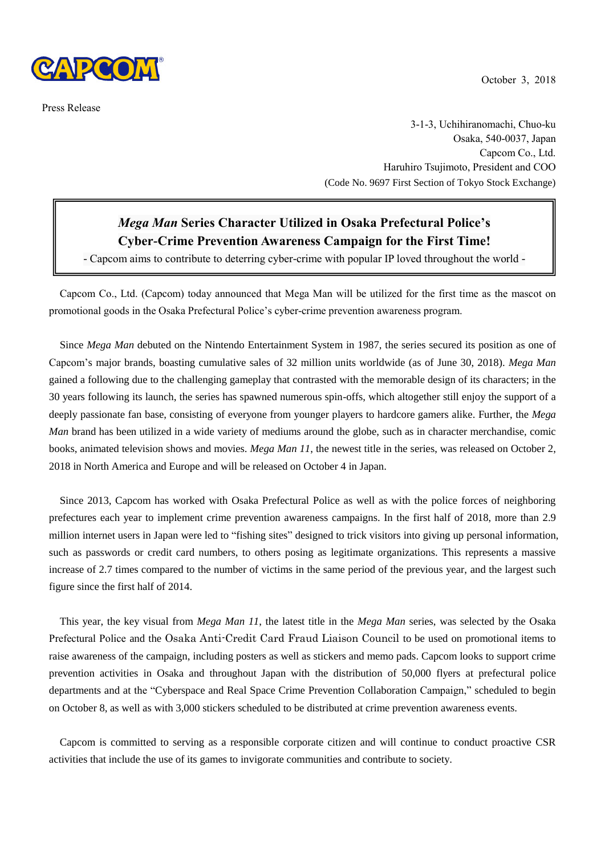

Press Release

3-1-3, Uchihiranomachi, Chuo-ku Osaka, 540-0037, Japan Capcom Co., Ltd. Haruhiro Tsujimoto, President and COO (Code No. 9697 First Section of Tokyo Stock Exchange)

# *Mega Man* **Series Character Utilized in Osaka Prefectural Police's Cyber-Crime Prevention Awareness Campaign for the First Time!**

- Capcom aims to contribute to deterring cyber-crime with popular IP loved throughout the world -

Capcom Co., Ltd. (Capcom) today announced that Mega Man will be utilized for the first time as the mascot on promotional goods in the Osaka Prefectural Police's cyber-crime prevention awareness program.

Since *Mega Man* debuted on the Nintendo Entertainment System in 1987, the series secured its position as one of Capcom's major brands, boasting cumulative sales of 32 million units worldwide (as of June 30, 2018). *Mega Man* gained a following due to the challenging gameplay that contrasted with the memorable design of its characters; in the 30 years following its launch, the series has spawned numerous spin-offs, which altogether still enjoy the support of a deeply passionate fan base, consisting of everyone from younger players to hardcore gamers alike. Further, the *Mega Man* brand has been utilized in a wide variety of mediums around the globe, such as in character merchandise, comic books, animated television shows and movies. *Mega Man 11*, the newest title in the series, was released on October 2, 2018 in North America and Europe and will be released on October 4 in Japan.

Since 2013, Capcom has worked with Osaka Prefectural Police as well as with the police forces of neighboring prefectures each year to implement crime prevention awareness campaigns. In the first half of 2018, more than 2.9 million internet users in Japan were led to "fishing sites" designed to trick visitors into giving up personal information, such as passwords or credit card numbers, to others posing as legitimate organizations. This represents a massive increase of 2.7 times compared to the number of victims in the same period of the previous year, and the largest such figure since the first half of 2014.

This year, the key visual from *Mega Man 11*, the latest title in the *Mega Man* series, was selected by the Osaka Prefectural Police and the Osaka Anti-Credit Card Fraud Liaison Council to be used on promotional items to raise awareness of the campaign, including posters as well as stickers and memo pads. Capcom looks to support crime prevention activities in Osaka and throughout Japan with the distribution of 50,000 flyers at prefectural police departments and at the "Cyberspace and Real Space Crime Prevention Collaboration Campaign," scheduled to begin on October 8, as well as with 3,000 stickers scheduled to be distributed at crime prevention awareness events.

Capcom is committed to serving as a responsible corporate citizen and will continue to conduct proactive CSR activities that include the use of its games to invigorate communities and contribute to society.